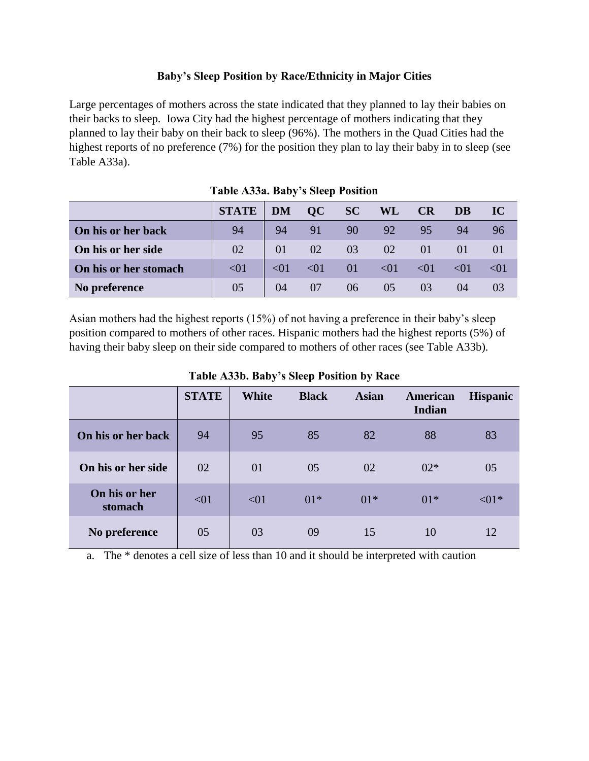## **Baby's Sleep Position by Race/Ethnicity in Major Cities**

Large percentages of mothers across the state indicated that they planned to lay their babies on their backs to sleep. Iowa City had the highest percentage of mothers indicating that they planned to lay their baby on their back to sleep (96%). The mothers in the Quad Cities had the highest reports of no preference (7%) for the position they plan to lay their baby in to sleep (see Table A33a).

|                       | <b>STATE</b> | <b>DM</b> | OC        | SC | <b>WL</b>     | <b>CR</b> | DB       | IC           |
|-----------------------|--------------|-----------|-----------|----|---------------|-----------|----------|--------------|
| On his or her back    | 94           | 94        | 91        | 90 | 92            | 95        | 94       | 96           |
| On his or her side    | 02           | 01        | 02        | 03 | 02            | 01        | $\Omega$ |              |
| On his or her stomach | < 01         | $\leq 01$ | $\leq 01$ | 01 | < 01          | < 01      | < 01     | $\langle 0 $ |
| No preference         | 05           | 04        | 07        | 06 | $0.5^{\circ}$ | 03        | (1)4     |              |

Asian mothers had the highest reports (15%) of not having a preference in their baby's sleep position compared to mothers of other races. Hispanic mothers had the highest reports (5%) of having their baby sleep on their side compared to mothers of other races (see Table A33b).

|                          | <b>STATE</b> | <b>White</b> | <b>Black</b> | <b>Asian</b> | American<br><b>Indian</b> | <b>Hispanic</b> |
|--------------------------|--------------|--------------|--------------|--------------|---------------------------|-----------------|
| On his or her back       | 94           | 95           | 85           | 82           | 88                        | 83              |
| On his or her side       | 02           | 01           | 05           | 02           | $02*$                     | 05              |
| On his or her<br>stomach | < 01         | < 01         | $01*$        | $01*$        | $01*$                     | $< 01$ *        |
| No preference            | 05           | 03           | 09           | 15           | 10                        | 12              |

## **Table A33b. Baby's Sleep Position by Race**

a. The \* denotes a cell size of less than 10 and it should be interpreted with caution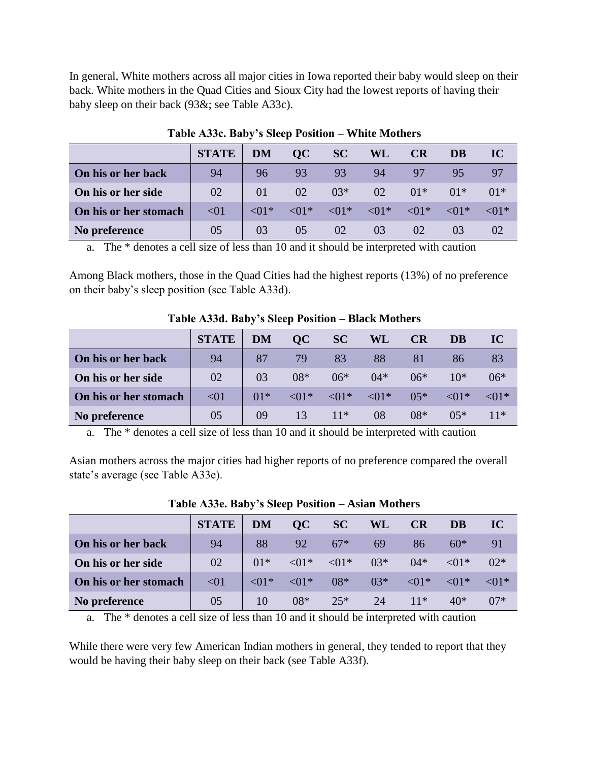In general, White mothers across all major cities in Iowa reported their baby would sleep on their back. White mothers in the Quad Cities and Sioux City had the lowest reports of having their baby sleep on their back (93&; see Table A33c).

|                       | <b>STATE</b> | <b>DM</b>  | OC             | <b>SC</b>       | <b>WL</b> | <b>CR</b>                                                             | DB    | IC         |
|-----------------------|--------------|------------|----------------|-----------------|-----------|-----------------------------------------------------------------------|-------|------------|
| On his or her back    | 94           | 96         | 93             | 93              | 94        | 97                                                                    | 95    |            |
| On his or her side    | 02           | $\Omega$ 1 | 02             | $03*$           | 02        | $01*$                                                                 | $01*$ | $01*$      |
| On his or her stomach | < 01         | $\leq 01*$ |                |                 |           | $\langle 01^* \quad 01^* \quad 01^* \quad 01^* \quad 01^* \quad 01^*$ |       | $\leq 01*$ |
| No preference         | 05           | 03         | 0 <sub>5</sub> | 02 <sup>2</sup> | 03        | 02                                                                    |       |            |

**Table A33c. Baby's Sleep Position – White Mothers**

a. The \* denotes a cell size of less than 10 and it should be interpreted with caution

Among Black mothers, those in the Quad Cities had the highest reports (13%) of no preference on their baby's sleep position (see Table A33d).

|                       | <b>STATE</b> | <b>DM</b> | OC         | <b>SC</b>                                       | WL    | CR    | <b>DB</b>  | IC       |
|-----------------------|--------------|-----------|------------|-------------------------------------------------|-------|-------|------------|----------|
| On his or her back    | 94           | 87        | 79         | 83                                              | 88    | 81    | 86         | 83       |
| On his or her side    | 02           | 03        | $08*$      | $06*$                                           | $04*$ | $06*$ | $10*$      | $06*$    |
| On his or her stomach | < 01         | $01*$     | $\leq 01*$ | $\langle 01^* \quad \langle 01^* \quad \rangle$ |       | $05*$ | $\leq 01*$ | $< 01$ * |
| No preference         | 05           | 09        | 13         | $11*$                                           | 08    | $08*$ | $05*$      | $11*$    |

**Table A33d. Baby's Sleep Position – Black Mothers**

a. The \* denotes a cell size of less than 10 and it should be interpreted with caution

Asian mothers across the major cities had higher reports of no preference compared the overall state's average (see Table A33e).

|                       | <b>STATE</b> | <b>DM</b>  | OC         | SC                                              | WL    | <b>CR</b>                                 | DB          | IC          |
|-----------------------|--------------|------------|------------|-------------------------------------------------|-------|-------------------------------------------|-------------|-------------|
| On his or her back    | 94           | 88         | 92         | $67*$                                           | 69    | 86                                        | $60*$       | 91          |
| On his or her side    | 02           | $01*$      |            | $\langle 01^* \quad \langle 01^* \quad \rangle$ | $03*$ |                                           | $04*$ < 01* | $02*$       |
| On his or her stomach | < 01         | $\leq 01*$ | $\leq 01*$ | $08*$                                           | $03*$ | $\langle 01^* \quad \langle 01^* \rangle$ |             | $\sim$ <01* |
| No preference         | 05           | 10         | $08*$      | $25*$                                           | 24    | $11*$                                     | $40*$       | $07*$       |

**Table A33e. Baby's Sleep Position – Asian Mothers**

a. The \* denotes a cell size of less than 10 and it should be interpreted with caution

While there were very few American Indian mothers in general, they tended to report that they would be having their baby sleep on their back (see Table A33f).